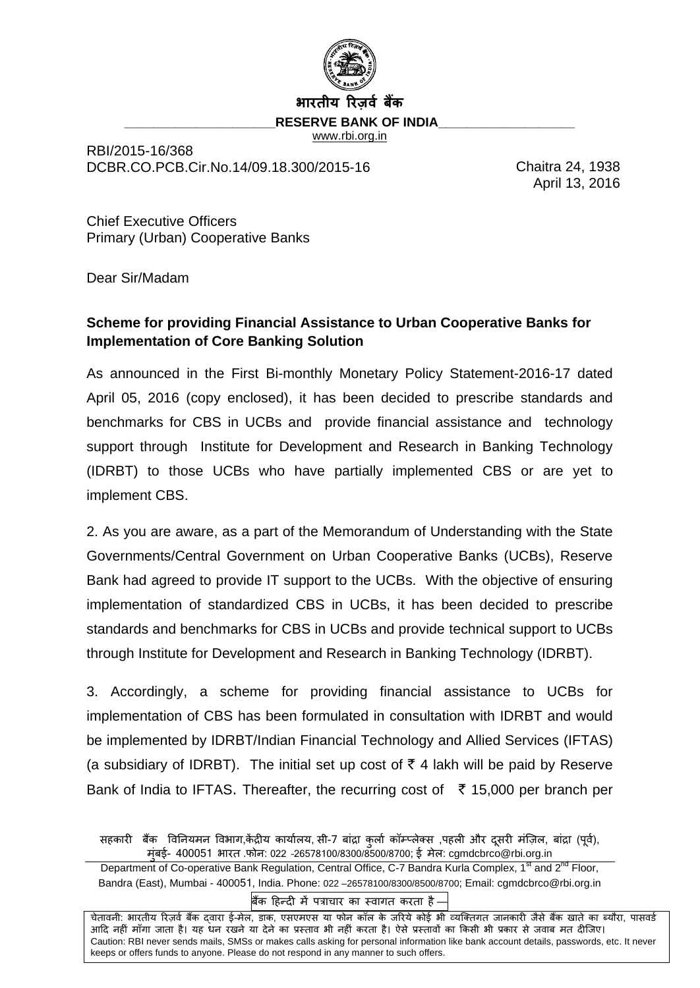

#### **भारतीय ररज़र्व बकैं**

**RESERVE BANK OF INDIA** 

[www.rbi.org.in](http://www.rbi.org.in/)

RBI/2015-16/368 DCBR.CO.PCB.Cir.No.14/09.18.300/2015-16 Chaitra 24, 1938

April 13, 2016

Chief Executive Officers Primary (Urban) Cooperative Banks

Dear Sir/Madam

# **Scheme for providing Financial Assistance to Urban Cooperative Banks for Implementation of Core Banking Solution**

As announced in the First Bi-monthly Monetary Policy Statement-2016-17 dated April 05, 2016 (copy enclosed), it has been decided to prescribe standards and benchmarks for CBS in UCBs and provide financial assistance and technology support through Institute for Development and Research in Banking Technology (IDRBT) to those UCBs who have partially implemented CBS or are yet to implement CBS.

2. As you are aware, as a part of the Memorandum of Understanding with the State Governments/Central Government on Urban Cooperative Banks (UCBs), Reserve Bank had agreed to provide IT support to the UCBs. With the objective of ensuring implementation of standardized CBS in UCBs, it has been decided to prescribe standards and benchmarks for CBS in UCBs and provide technical support to UCBs through Institute for Development and Research in Banking Technology (IDRBT).

3. Accordingly, a scheme for providing financial assistance to UCBs for implementation of CBS has been formulated in consultation with IDRBT and would be implemented by IDRBT/Indian Financial Technology and Allied Services (IFTAS) (a subsidiary of IDRBT). The initial set up cost of  $\bar{\tau}$  4 lakh will be paid by Reserve Bank of India to IFTAS. Thereafter, the recurring cost of  $\bar{\tau}$  15,000 per branch per

बिंक हिन्दी में पत्राचार का स्वागत करता है –

चेतावनी: भारतीय रिज़र्व बैंक दवारा ई-मेल, डाक, एसएमएस या फोन कॉल के जरिये कोई भी व्यक्तिगत जानकारी जैसे बैंक खाते का ब्यौरा, पासवर्ड आदि नहीं माँगा जाता है। यह धन रखने या देने का प्रस्ताव भी नहीं करता है। ऐसे प्रस्तावों का किसी भी प्रकार से जवाब मत दीजिए। Caution: RBI never sends mails, SMSs or makes calls asking for personal information like bank account details, passwords, etc. It never keeps or offers funds to anyone. Please do not respond in any manner to such offers.

सहकारी बैंक विनियमन विभाग,केंद्रीय कार्यालय, सी-7 बांद्रा कर्ला कॉम्प्लेक्स ,पहली और दुसरी मंज़िल, बांद्रा (पूर्व), मबईुां - 400051 भारत .फोि: 022 –26578100/8300/8500/8700; ई मेल: cgmdcbrco@rbi.org.in

Department of Co-operative Bank Regulation, Central Office, C-7 Bandra Kurla Complex, 1<sup>st</sup> and 2<sup>nd</sup> Floor, Bandra (East), Mumbai - 400051, India. Phone: 022 –26578100/8300/8500/8700; Email: cgmdcbrco@rbi.org.in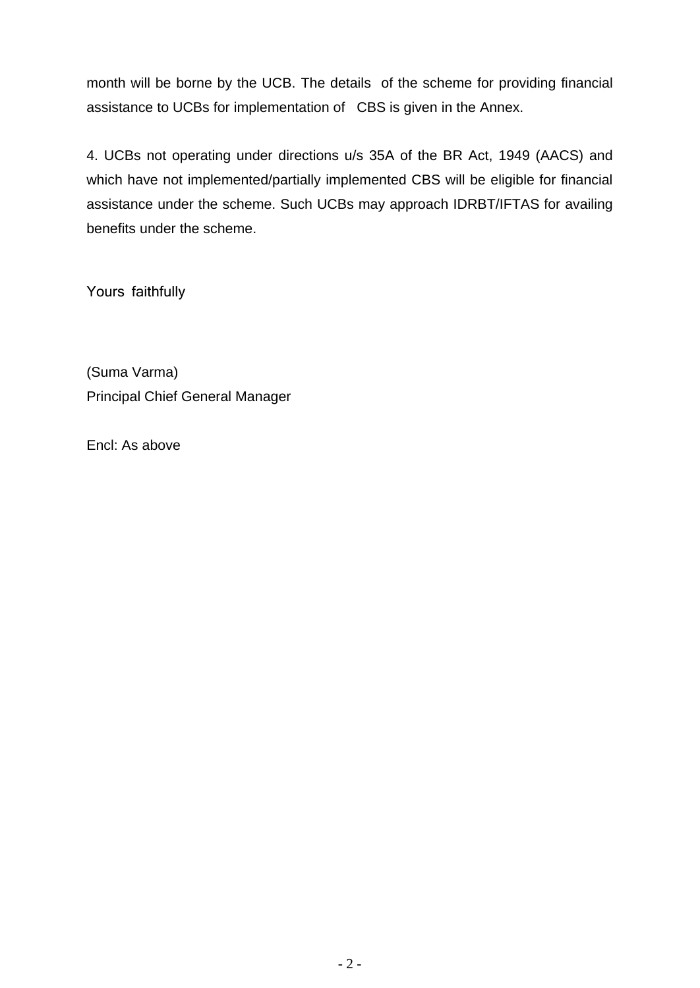month will be borne by the UCB. The details of the scheme for providing financial assistance to UCBs for implementation of CBS is given in the Annex.

4. UCBs not operating under directions u/s 35A of the BR Act, 1949 (AACS) and which have not implemented/partially implemented CBS will be eligible for financial assistance under the scheme. Such UCBs may approach IDRBT/IFTAS for availing benefits under the scheme.

Yours faithfully

(Suma Varma) Principal Chief General Manager

Encl: As above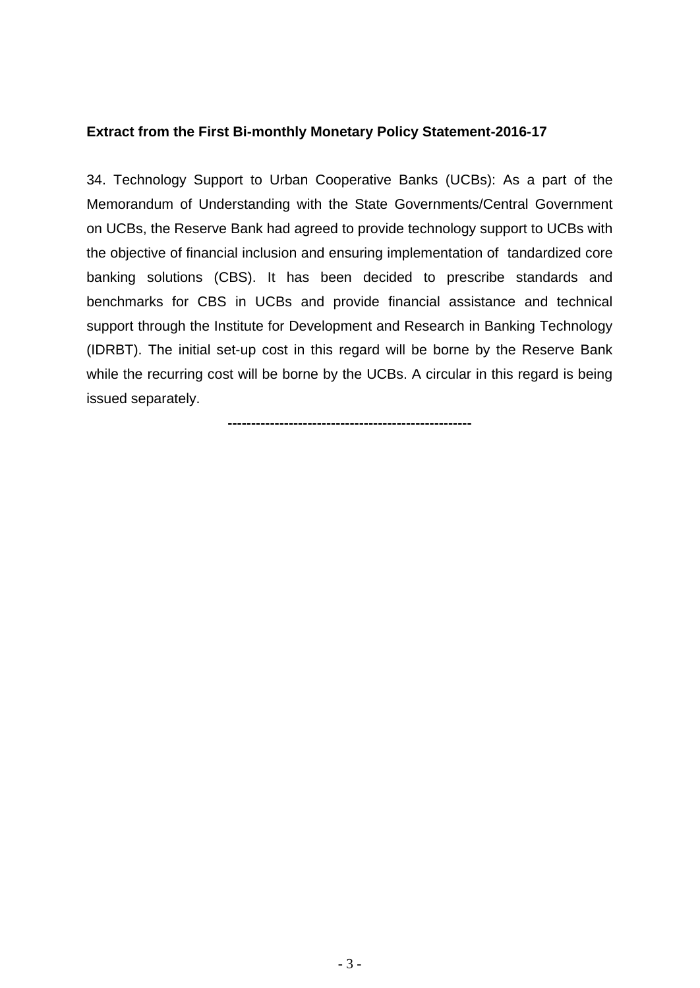#### **Extract from the First Bi-monthly Monetary Policy Statement-2016-17**

34. Technology Support to Urban Cooperative Banks (UCBs): As a part of the Memorandum of Understanding with the State Governments/Central Government on UCBs, the Reserve Bank had agreed to provide technology support to UCBs with the objective of financial inclusion and ensuring implementation of tandardized core banking solutions (CBS). It has been decided to prescribe standards and benchmarks for CBS in UCBs and provide financial assistance and technical support through the Institute for Development and Research in Banking Technology (IDRBT). The initial set-up cost in this regard will be borne by the Reserve Bank while the recurring cost will be borne by the UCBs. A circular in this regard is being issued separately.

**----------------------------------------------------**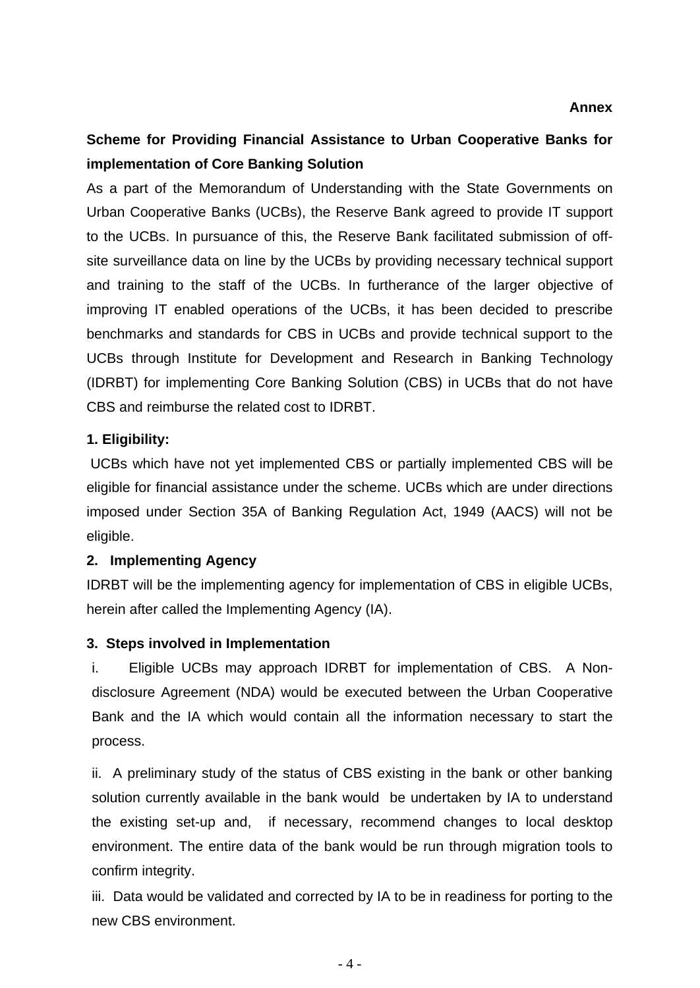# **Scheme for Providing Financial Assistance to Urban Cooperative Banks for implementation of Core Banking Solution**

As a part of the Memorandum of Understanding with the State Governments on Urban Cooperative Banks (UCBs), the Reserve Bank agreed to provide IT support to the UCBs. In pursuance of this, the Reserve Bank facilitated submission of offsite surveillance data on line by the UCBs by providing necessary technical support and training to the staff of the UCBs. In furtherance of the larger objective of improving IT enabled operations of the UCBs, it has been decided to prescribe benchmarks and standards for CBS in UCBs and provide technical support to the UCBs through Institute for Development and Research in Banking Technology (IDRBT) for implementing Core Banking Solution (CBS) in UCBs that do not have CBS and reimburse the related cost to IDRBT.

### **1. Eligibility:**

UCBs which have not yet implemented CBS or partially implemented CBS will be eligible for financial assistance under the scheme. UCBs which are under directions imposed under Section 35A of Banking Regulation Act, 1949 (AACS) will not be eligible.

### **2. Implementing Agency**

IDRBT will be the implementing agency for implementation of CBS in eligible UCBs, herein after called the Implementing Agency (IA).

#### **3. Steps involved in Implementation**

i. Eligible UCBs may approach IDRBT for implementation of CBS. A Nondisclosure Agreement (NDA) would be executed between the Urban Cooperative Bank and the IA which would contain all the information necessary to start the process.

ii. A preliminary study of the status of CBS existing in the bank or other banking solution currently available in the bank would be undertaken by IA to understand the existing set-up and, if necessary, recommend changes to local desktop environment. The entire data of the bank would be run through migration tools to confirm integrity.

iii. Data would be validated and corrected by IA to be in readiness for porting to the new CBS environment.